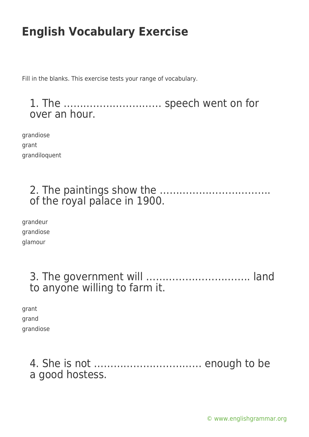Fill in the blanks. This exercise tests your range of vocabulary.

1. The ………………………… speech went on for over an hour.

grandiose grant grandiloquent

### 2. The paintings show the ……………………………. of the royal palace in 1900.

grandeur grandiose glamour

### 3. The government will ………………………….. land to anyone willing to farm it.

| grant     |
|-----------|
| grand     |
| grandiose |

4. She is not …………………………… enough to be a good hostess.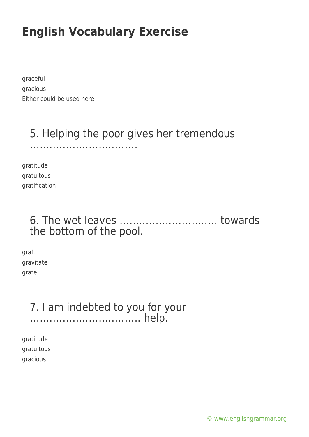graceful gracious Either could be used here

### 5. Helping the poor gives her tremendous

……………………………

gratitude gratuitous gratification

#### 6. The wet leaves ………………………… towards the bottom of the pool.

graft gravitate grate

#### 7. I am indebted to you for your ……………………………. help.

gratitude gratuitous gracious

[© www.englishgrammar.org](https://www.englishgrammar.org/)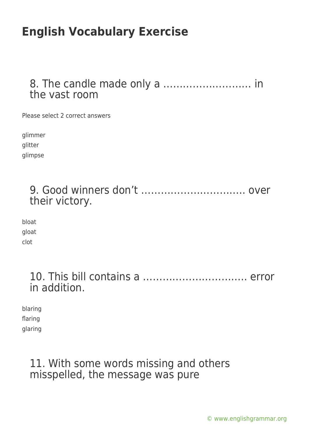#### 8. The candle made only a ……………………… in the vast room

Please select 2 correct answers

glimmer glitter

glimpse

| their victory. |  |
|----------------|--|

bloat gloat clot

| in addition. |  |
|--------------|--|

blaring flaring glaring

#### 11. With some words missing and others misspelled, the message was pure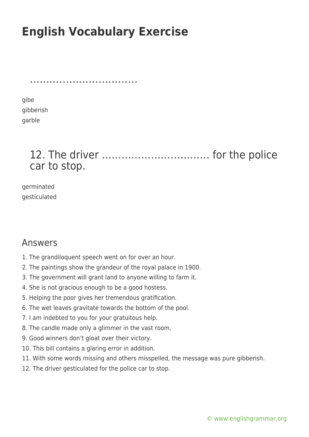……………………………………………

gibe gibberish garble

### 12. The driver …………………………… for the police car to stop.

germinated gesticulated

#### Answers

- 1. The grandiloquent speech went on for over an hour.
- 2. The paintings show the grandeur of the royal palace in 1900.
- 3. The government will grant land to anyone willing to farm it.
- 4. She is not gracious enough to be a good hostess.
- 5. Helping the poor gives her tremendous gratification.
- 6. The wet leaves gravitate towards the bottom of the pool.
- 7. I am indebted to you for your gratuitous help.
- 8. The candle made only a glimmer in the vast room.
- 9. Good winners don't gloat over their victory.
- 10. This bill contains a glaring error in addition.
- 11. With some words missing and others misspelled, the message was pure gibberish.
- 12. The driver gesticulated for the police car to stop.